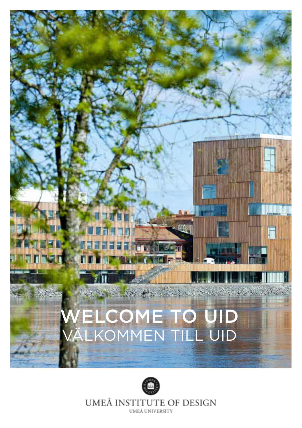# WELCOME TO UID VÄLKOMMEN TILL UID



UMEÅ INSTITUTE OF DESIGN UMEÅ UNIVERSITY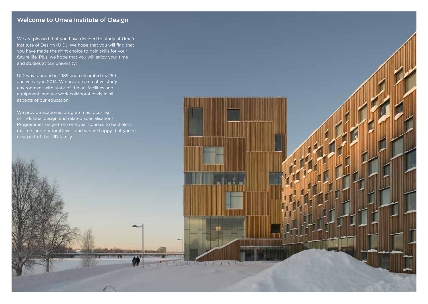## Welcome to Umeå Institute of Design

We are pleased that you have decided to study at Umeå Institute of Design (UID). We hope that you will find that you have made the right choice to gain skills for your future life. Plus, we hope that you will enjoy your time and studies at our university!

UID was founded in 1989 and celebrated its 25th anniversary in 2014. We provide a creative study environment with state-of-the art facilities and equipment, and we work collaboratiovely in all aspects of our education.

We provide academic programmes focusing on industrial design and related specialisations. Programmes range from one year courses to bachelors, masters and doctoral levels and we are happy that you're now part of the UID family.

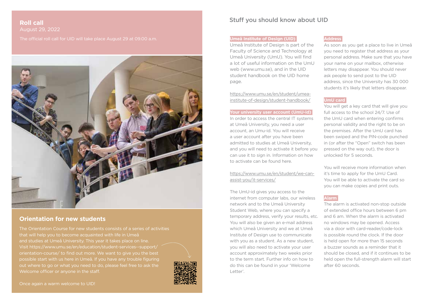## **Roll call** August 29, 2022



## **Orientation for new students**

The Orientation Course for new students consists of a series of activities that will help you to become acquainted with life in Umeå and studies at Umeå University. This year it takes place on line. Visit https://www.umu.se/en/education/student-services--support/ orientation-course/ to find out more. We want to give you the best possible start with us here in Umeå. If you have any trouble figuring Welcome officer or anyone in the staff.



Once again a warm welcome to UID!

## Stuff you should know about UID

### **Umeå Institute of Design (UID)**

Umeå Institute of Design is part of the Faculty of Science and Technology at Umeå University (UmU). You will find a lot of useful information on the UmU web (www.umu.se), and in the UID student handbook on the UID home page.

https://www.umu.se/en/student/umeainstitute-of-design/student-handbook/

#### **Your university user account (UmU-id)**

In order to access the central IT systems at Umeå University, you need a user account, an Umu-id. You will receive a user account after you have been admitted to studies at Umeå University, and you will need to activate it before you can use it to sign in. Information on how to activate can be found here.

https://www.umu.se/en/student/we-canassist-you/it-services/

The UmU-id gives you access to the internet from computer labs, our wireless network and to the Umeå University Student Web, where you can specify a temporary address, verify your results, etc. You will also be given an e-mail address which Umeå University and we at Umeå Institute of Design use to communicate with you as a student. As a new student, you will also need to activate your user account approximately two weeks prior to the term start. Further info on how to do this can be found in your 'Welcome Letter'.

#### **Address**

As soon as you get a place to live in Umeå you need to register that address as your personal address. Make sure that you have your name on your mailbox, otherwise letters may disappear. You should never ask people to send post to the UID address, since the University has 30 000 students it's likely that letters disappear.

#### **UmU card**

You will get a key card that will give you full access to the school 24/7. Use of the UmU card when entering confirms personal validity and the right to be on the premises. After the UmU card has been swiped and the PIN-code punched in (or after the "Open" switch has been pressed on the way out), the door is unlocked for 5 seconds.

You will receive more information when it's time to apply for the UmU Card. You will be able to activate the card so you can make copies and print outs.

#### **Alarm**

The alarm is activated non-stop outside of extended office hours between 6 pm and 6 am. When the alarm is activated no windows may be opened. Access via a door with card-reader/code-lock is possible round the clock. If the door is held open for more than 15 seconds a buzzer sounds as a reminder that it should be closed, and if it continues to be held open the full-strength alarm will start after 60 seconds.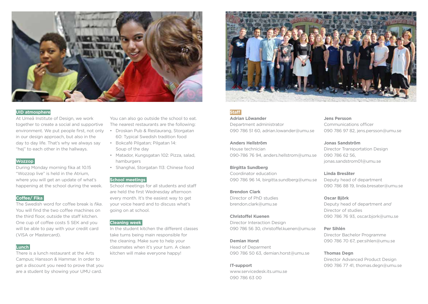

#### **UID atmosphere**

At Umeå Institute of Design, we work together to create a social and supportive environment. We put people first, not only in our design approach, but also in the day to day life. That's why we always say "hej" to each other in the hallways.

#### **Wozzop**

During Monday morning fika at 10.15 "Wozzop live" is held in the Atrium, where you will get an update of what's happening at the school during the week.

#### **Coffee/ Fika**

The Swedish word for coffee break is *fika*. You will find the two coffee machines on the third floor, outside the staff kitchen. One cup of coffee costs 5 SEK and you will be able to pay with your credit card (VISA or Mastercard).

#### **Lunch**

There is a lunch restaurant at the Arts Campus; Hansson & Hammar. In order to get a discount you need to prove that you are a student by showing your UMU card.

You can also go outside the school to eat. The nearest restaurants are the following:

- Droskan Pub & Restaurang, Storgatan 60: Typical Swedish tradition food
- Bokcafé Pilgatan; Pilgatan 14: Soup of the day
- Matador, Kungsgatan 102: Pizza, salad, hamburgers
- Shanghai, Storgatan 113: Chinese food

#### **School meetings**

School meetings for all students and staff are held the first Wednesday afternoon every month. It's the easiest way to get your voice heard and to discuss what's going on at school.

#### **Cleaning week**

In the student kitchen the different classes take turns being main responsible for the cleaning. Make sure to help your classmates when it's your turn. A clean kitchen will make everyone happy!



**Staff** 

#### **Adrian Löwander** Department administrator 090 786 51 60, adrian.lowander@umu.se

**Anders Hellström** House technician 090-786 76 94, anders.hellstrom@umu.se

#### **Birgitta Sundberg**

Coordinator education 090 786 96 14, birgitta.sundberg@umu.se

#### **Brendon Clark**

Director of PhD studies brendon.clark@umu.se

#### **Christoffel Kuenen**

Director Interaction Design 090 786 56 30, christoffel.kuenen@umu.se

#### **Demian Horst**

Head of Deparment 090 786 50 63, demian.horst@umu.se

#### **IT-support**

www.servicedesk.its.umu.se 090 786 63 00

**Jens Persson** Communications officer 090 786 97 82, jens.persson@umu.se

**Jonas Sandström** Director Transportation Design 090 786 62 56, jonas.sandstrom01@umu.se

## **Linda Bresäter**

Deputy head of department 090 786 88 19, linda.bresater@umu.se

#### **Oscar Björk**

Deputy head of department *and* Director of studies 090 786 76 93, oscar.bjork@umu.se

#### **Per Sihlén**

Director Bachelor Programme 090 786 70 67, per.sihlen@umu.se

#### **Thomas Degn**

Director Advanced Product Design 090 786 77 41, thomas.degn@umu.se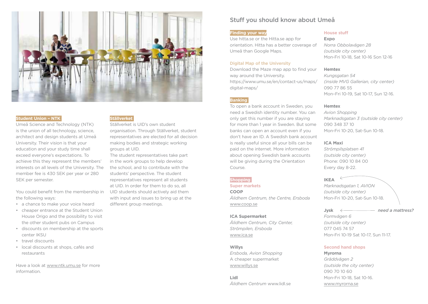

#### **Student Union – NTK**

Umeå Science and Technology (NTK) is the union of all technology, science, architect and design students at Umeå University. Their vision is that your education and your study time shall exceed everyone's expectations. To achieve this they represent the members' interests on all levels of the University. The member fee is 430 SEK per year or 280 SEK per semester.

You could benefit from the membership in the following ways:

- a chance to make your voice heard
- cheaper entrance at the Student Union House Origo and the possibility to visit the other student pubs on Campus
- discounts on membership at the sports center IKSU
- travel discounts
- local discounts at shops, cafés and restaurants

Have a look at www.ntk.umu.se for more information.

## **Ställverket**

Ställverket is UID's own student organisation. Through Ställverket, student representatives are elected for all decision making bodies and strategic working groups at UID.

The student representatives take part in the work groups to help develop the school, and to contribute with the students' perspective. The student representatives represent all students at UID. In order for them to do so, all UID students should actively aid them with input and issues to bring up at the different group meetings.

## Stuff you should know about Umeå

#### **Finding your way**

Use hitta.se or the Hitta.se app for orientation. Hitta has a better coverage of Umeå than Google Maps.

#### **Digital Map of the University**

Download the Maze map app to find your way around the University. https://www.umu.se/en/contact-us/maps/ digital-maps/

#### **Banking**

To open a bank account in Sweden, you need a Swedish identity number. You can only get this number if you are staying for more than 1 year in Sweden. But some banks can open an account even if you don't have an ID. A Swedish bank account is really useful since all your bills can be paid on the internet. More information about opening Swedish bank accounts will be giving during the Orientation Course.

#### **Shopping**

**Super markets** 

**COOP** *Ålidhem Centrum, the Centre, Ersboda* www.coop.se

### **ICA Supermarket**

*Ålidhem Centrum, City Center, Strömpilen, Ersboda* www.ica.se

#### **Willys**

*Ersboda, Avion Shopping* A cheaper supermarket www.willys.se

**Lidl** *Ålidhem Centrum* www.lidl.se

#### **House stuff**

**Expo** *Norra Obbolavägen 28 (outside city center)* Mon-Fri 10-18, Sat 10-16 Son 12-16

#### **Hemtex**

*Kungsgatan 54 (inside MVG Gallerian, city center)*  090 77 86 55 Mon–Fri 10-19, Sat 10-17, Sun 12-16.

#### **Hemtex**

*Avion Shopping Marknadsgatan 3 (outside city center)* 090 348 37 10 Mon-Fri 10-20, Sat-Sun 10-18.

#### **ICA Maxi**

*Strömpilsplatsen 41 (outside city center)* Phone: 090 10 84 00 Every day 8-22.

**IKEA**  *Marknadsgatan 1, AVION*

*(outside city center)* Mon-Fri 10-20, Sat-Sun 10-18.

#### **Jysk** *need a mattress?*

*Formvägen 6 (outside city center)* 077 045 74 57 Mon-Fri 10-19 Sat 10-17, Sun 11-17.

#### **Second hand shops**

**Myrorna** *Gräddvägen 2 (outside the city center)* 090 70 10 60 Mon-Fri 10-18, Sat 10-16. www.myrorna.se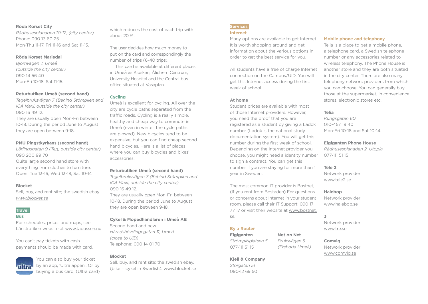#### **Röda Korset City**

*Rådhusesplanaden 10-12, (city center)*  Phone: 090 13 60 25 Mon-Thu 11-17, Fri 11-16 and Sat 11-15.

#### **Röda Korset Mariedal**

*Björnvägen 7, Umeå (outside the city center)* 090 14 56 40 Mon-Fri 10-18, Sat 11-15.

#### **Returbutiken Umeå (second hand)**

*Tegelbruksvägen 7 (Behind Stömpilen and ICA Maxi, outside the city center)* 090 16 49 12. They are usually open Mon-Fri between

10-18. During the period June to August they are open between 9-18.

#### **PMU Pingstkyrkans (second hand)**

*Lärlingsgatan 9 (Teg, outside city center).* 090 200 99 70 Quite large second hand store with everything from clothes to furniture. Open: Tue 13-16, Wed 13-18, Sat 10-14

#### **Blocket**

Sell, buy, and rent site; the swedish ebay. *www.blocket.se*

## **Travel**

#### **Bus**

For schedules, prices and maps, see Länstrafiken website at www.tabussen.nu

You can't pay tickets with cash – payments should be made with card.



You can also buy your ticket by an app, 'Ultra appen'. Or by buying a bus card, (Ultra card)

which reduces the cost of each trip with about 20 % .

The user decides how much money to put on the card and correspondingly the number of trips (6-40 trips).

 This card is available at different places in Umeå as Kiosken, Ålidhem Centrum, University Hospital and the Central bus office situated at Vasaplan.

#### **Cycling**

Umeå is excellent for cycling. All over the city are cycle paths separated from the traffic roads. Cycling is a really simple, healthy and cheap way to commute in Umeå (even in winter, the cycle paths are plowed). New bicycles tend to be expensive, but you can find cheap second hand bicycles. Here is a list of places where you can buy bicycles and bikes' accessories:

#### **Returbutiken Umeå (second hand)**

*Tegelbruksvägen 7 (Behind Stömpilen and ICA Maxi, outside the city center)* 090 16 49 12.

They are usually open Mon-Fri between 10-18. During the period June to August they are open between 9-18.

#### **Cykel & Mopedhandlaren i Umeå AB**

Second hand and new *Häradshövdingegatan 11, Umeå (close to UID)* Telephone: 090 14 01 70

#### **Blocket**

Sell, buy, and rent site; the swedish ebay. (bike = cykel in Swedish). www.blocket.se

#### **Services Internet**

Many options are available to get Internet. It is worth shopping around and get information about the various options in order to get the best service for you.

All students have a free of charge Internet connection on the Campus/UID. You will get this Internet access during the first week of school.

#### **At home**

Student prices are available with most of those Internet providers. However, you need the proof that you are registered as a student by giving a Ladok number (Ladok is the national study documentation system). You will get this number during the first week of school. Depending on the Internet provider you choose, you might need a identity number to sign a contract. You can get this number if you are staying for more than 1 year in Sweden.

The most common IT provider is Bostnet, (If you rent from Bostaden) For questions or concerns about Internet in your student room, please call their IT Support: 090 17 77 17 or visit their website at www.bostnet. se.

> **Net on Net** *Bruksvägen 5 (Ersboda Umeå)*

#### **By a Router**

**Elgiganten** *Strömpilsplatsen 5* 077-111 51 15

**Kjell & Company** *Storgatan 51* 090-12 69 50

#### **Mobile phone and telephony**

Telia is a place to get a mobile phone, a telephone card, a Swedish telephone number or any accessories related to wireless telephony. The Phone House is another store and they are both situated in the city center. There are also many telephony network providers from which you can choose. You can generally buy those at the supermarket, in convenience stores, electronic stores etc.

#### **Telia**

*Kungsgatan 60* 010-457 19 40 Mon-Fri 10-18 and Sat 10-14.

#### **Elgiganten Phone House**

*Rådhusesplanaden 2, Utopia* 077-111 51 15

#### **Tele 2**

Network provider www.tele2.se

## **Halebop** Network provider

www.halebop.se

**3**

Network provider www.tre.se

**Comviq** Network provider www.comviq.se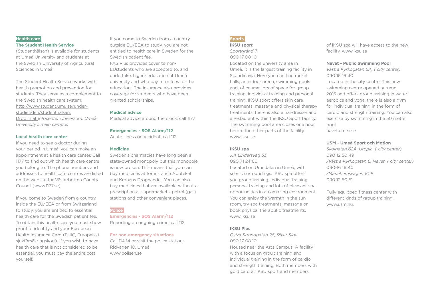#### **Health care**

#### **The Student Health Service**

(Studenthälsan) is available for students at Umeå University and students at the Swedish University of Agricultural Sciences in Umeå.

The Student Health Service works with health promotion and prevention for students. They serve as a complement to the Swedish health care system. http://www.student.umu.se/understudietiden/studenthalsan. Drop in at *Infocenter Universum, Umeå University's main campus* 

#### **Local health care center**

If you need to see a doctor during your period in Umeå, you can make an appointment at a health care center. Call 1177 to find out which health care centre you belong to. The phone numbers and addresses to health care centres are listed on the website for Västerbotten County Council (www.1177.se)

If you come to Sweden from a country inside the EU/EEA or from Switzerland to study, you are entitled to essential health care for the Swedish patient fee. To obtain this health care you must show proof of identity and your European Health Insurance Card (EHIC, Europeiskt sjukförsäkringskort). If you wish to have health care that is not considered to be essential, you must pay the entire cost yourself.

If you come to Sweden from a country outside EU/EEA to study, you are not entitled to health care in Sweden for the Swedish patient fee. FAS Plus provides cover to non-EUstudents who are accepted to, and undertake, higher education at Umeå university and who pay term fees for the education.. The insurance also provides coverage for students who have been granted scholarships.

#### **Medical advice**

Medical advice around the clock: call 1177

#### **Emergencies - SOS Alarm/112**

Acute illness or accident: call 112

#### **Medicine**

Sweden's pharmacies have long been a state-owned monopoly but this monopole is now broken. This means that you can buy medicines at for instance Apoteket and Kronans Droghandel. You can also buy medicines that are available without a prescription at supermarkets, petrol (gas) stations and other convenient places.

## **Police**

**Emergencies - SOS Alarm/112** Reporting an ongoing crime: call 112

#### **For non-emergency situations**

Call 114 14 or visit the police station: Ridvägen 10, Umeå www.polisen.se

#### **Sports**

**IKSU sport** 

*Sportgränd 7* 090 17 08 10

Located on the university area in Umeå. It is the largest training facility in Scandinavia. Here you can find racket halls, an indoor arena, swimming pools and, of course, lots of space for group training, individual training and personal training. IKSU sport offers skin care treatments, massage and physical therapy treatments, there is also a hairdresser and a restaurant within the IKSU Sport facility. The swimming pool area closes one hour before the other parts of the facility. www.iksu.se

#### **IKSU spa**

*J.A Lindersväg 53* 090 71 24 60

Located on Umedalen in Umeå, with scenic surroundings. IKSU spa offers you group training, individual training, personal training and lots of pleasant spa opportunities in an amazing environment. You can enjoy the warmth in the sun room, try spa treatments, massage or book physical theraputic treatments. www.iksu.se

#### **IKSU Plus**

*Östra Strandgatan 26, River Side* 090 17 08 10 Housed near the Arts Campus. A facility with a focus on group training and individual training in the form of cardio and strength training. Both members with gold card at IKSU sport and members

of IKSU spa will have access to the new facility. www.iksu.se

#### **Navet - Public Swimming Pool**

*Västra Kyrkogatan 6A, ( city center)* 090 16 16 40

Located in the city centre. This new swimming centre opened autumn 2016 and offers group training in water aerobics and yoga, there is also a gym for individual training in the form of cardio and strength training. You can also exercise by swimming in the 50 metre pool.

navet.umea.se

#### **USM - Umeå Sport och Motion**

*Skolgatan 62A, Utopia, ( city center)* 090 12 50 49 */Västra Kyrkogatan 6, Navet, ( city center)* 090-16 16 40 */Mariehemsvägen 10 E* 090 12 50 51

Fully equipped fitness center with different kinds of group training. www.usm.nu.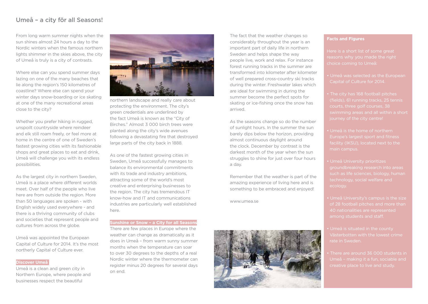## Umeå – a city för all Seasons!

From long warm summer nights when the sun shines almost 24 hours a day to the Nordic winters when the famous northern lights shimmer in the skies above, the city of Umeå is truly is a city of contrasts.

Where else can you spend summer days lazing on one of the many beaches that lie along the region's 150 kilometres of coastline? Where else can spend your winter days snow-boarding or ice skating at one of the many recreational areas close to the city?

Whether you prefer hiking in rugged, unspoilt countryside where reindeer and elk still roam freely, or feel more at home in the centre of one of Sweden's fastest growing cities with its fashionable shops and great places to eat and drink, Umeå will challenge you with its endless possibilities.

As the largest city in northern Sweden, Umeå is a place where different worlds meet. Over half of the people who live here are from outside the region. More than 50 languages are spoken - with English widely used everywhere - and there is a thriving community of clubs and societies that represent people and cultures from across the globe.

Umeå was appointed the European Capital of Culture for 2014. It's the most northerly Capital of Culture ever.

#### **Discover Umeå**

Umeå is a clean and green city in Northern Europe, where people and businesses respect the beautiful



northern landscape and really care about protecting the environment. The city's green credentials are underlined by the fact Umeå is known as the "City of Birches." Almost 3 000 birch trees were planted along the city's wide avenues following a devastating fire that destroyed large parts of the city back in 1888.

As one of the fastest growing cities in Sweden, Umeå successfully manages to balance its environmental commitments with its trade and industry ambitions. attracting some of the world's most creative and enterprising businesses to the region. The city has tremendous IT know-how and IT and communications industries are particularly well established here.

#### **Sunshine or Snow – a City for all Seasons**

There are few places in Europe where the weather can change as dramatically as it does in Umeå – from warm sunny summer months when the temperature can soar to over 30 degrees to the depths of a real Nordic winter where the thermometer can register minus 20 degrees for several days on end.

The fact that the weather changes so considerably throughout the year is an important part of daily life in northern Sweden and helps shape the way people live, work and relax. For instance forest running tracks in the summer are transformed into kilometer after kilometer of well prepared cross-country ski tracks during the winter. Freshwater lakes which are ideal for swimming in during the summer become the perfect spots for skating or ice-fishing once the snow has arrived.

As the seasons change so do the number of sunlight hours. In the summer the sun barely dips below the horizon, providing almost continuous daylight around the clock. December by contrast is the darkest month of the year when the sun struggles to shine for just over four hours a day.

Remember that the weather is part of the amazing experience of living here and is something to be embraced and enjoyed!

www.umea.se



#### **Facts and Figures**

Here is a short list of some great reasons why you made the right

- Umeå was selected as the European Capital of Culture for 2014.
- The city has 168 football pitches
- Umeå is the home of northern Europe's largest sport and fitness
- groundbreaking research into areas
- 
- Västerbotten with the lowest crime rate in Sweden.
- There are around 36 000 students in